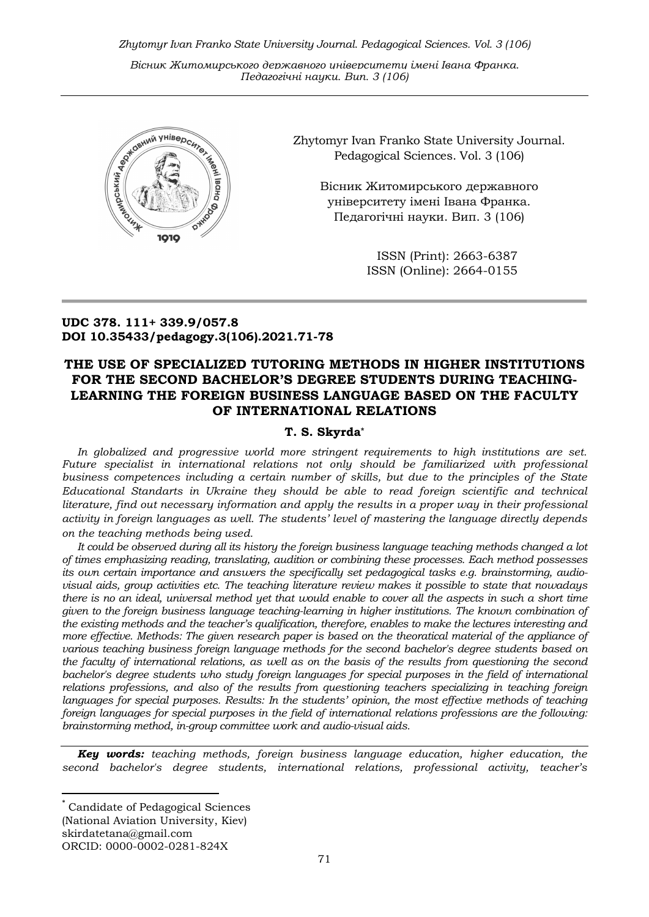Zhytomyr Ivan Franko State University Journal. Рedagogical Sciences. Vol. 3 (106)

Вісник Житомирського державного університету імені Івана Франка. Педагогічні науки. Вип. 3 (106)



Zhytomyr Ivan Franko State University Journal. Рedagogical Sciences. Vol. 3 (106)

> Вісник Житомирського державного університету імені Івана Франка. Педагогічні науки. Вип. 3 (106)

> > ISSN (Print): 2663-6387 ISSN (Online): 2664-0155

## UDC 378. 111+ 339.9/057.8 DOI 10.35433/pedagogy.3(106).2021.71-78

# THE USE OF SPECIALIZED TUTORING METHODS IN HIGHER INSTITUTIONS FOR THE SECOND BACHELOR'S DEGREE STUDENTS DURING TEACHING-LEARNING THE FOREIGN BUSINESS LANGUAGE BASED ON THE FACULTY OF INTERNATIONAL RELATIONS

### T. S. Skyrda\*

In globalized and progressive world more stringent requirements to high institutions are set. Future specialist in international relations not only should be familiarized with professional business competences including a certain number of skills, but due to the principles of the State Educational Standarts in Ukraine they should be able to read foreign scientific and technical literature, find out necessary information and apply the results in a proper way in their professional activity in foreign languages as well. The students' level of mastering the language directly depends on the teaching methods being used.

It could be observed during all its history the foreign business language teaching methods changed a lot of times emphasizing reading, translating, audition or combining these processes. Each method possesses its own certain importance and answers the specifically set pedagogical tasks e.g. brainstorming, audiovisual aids, group activities etc. The teaching literature review makes it possible to state that nowadays there is no an ideal, universal method yet that would enable to cover all the aspects in such a short time given to the foreign business language teaching-learning in higher institutions. The known combination of the existing methods and the teacher's qualification, therefore, enables to make the lectures interesting and more effective. Methods: The given research paper is based on the theoratical material of the appliance of various teaching business foreign language methods for the second bachelor's degree students based on the faculty of international relations, as well as on the basis of the results from questioning the second bachelor's degree students who study foreign languages for special purposes in the field of international relations professions, and also of the results from questioning teachers specializing in teaching foreign languages for special purposes. Results: In the students' opinion, the most effective methods of teaching foreign languages for special purposes in the field of international relations professions are the following: brainstorming method, in-group committee work and audio-visual aids.

**Key words:** teaching methods, foreign business language education, higher education, the second bachelor's degree students, international relations, professional activity, teacher's

-

Candidate of Pedagogical Sciences (National Aviation University, Kiev) skirdatetana@gmail.com ORCID: 0000-0002-0281-824X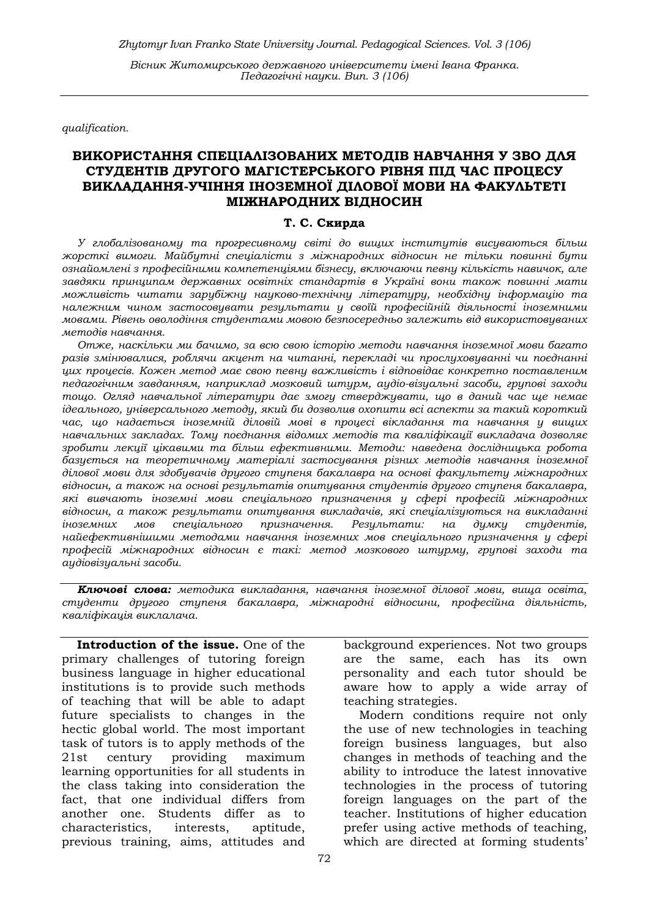qualification.

### ВИКОРИСТАННЯ СПЕЦІАЛІЗОВАНИХ МЕТОДІВ НАВЧАННЯ У ЗВО ДЛЯ СТУДЕНТІВ ДРУГОГО МАГІСТЕРСЬКОГО РІВНЯ ПІД ЧАС ПРОЦЕСУ ВИКЛАДАННЯ-УЧІННЯ ІНОЗЕМНОЇ ДІЛОВОЇ МОВИ НА ФАКУЛЬТЕТІ МІЖНАРОДНИХ ВІДНОСИН

#### Т. С. Скирда

У глобалізованому та прогресивному світі до вищих інститутів висуваються більш жорсткі вимоги. Майбутні спеціалісти з міжнародних відносин не тільки повинні бути ознайомлені з професійними компетенціями бізнесу, включаючи певну кількість навичок, але завдяки принципам державних освітніх стандартів в Україні вони також повинні мати можливість читати зарубіжну науково-технічну літературу, необхідну інформацію та належним чином застосовувати результати у своїй професійній діяльності іноземними мовами. Рівень оволодіння студентами мовою безпосередньо залежить від використовуваних методів навчання.

Отже, наскільки ми бачимо, за всю свою історію методи навчання іноземної мови багато разів змінювалися, роблячи акцент на читанні, перекладі чи прослуховуванні чи поєднанні цих процесів. Кожен метод має свою певну важливість і відповідає конкретно поставленим педагогічним завданням, наприклад мозковий штурм, аудіо-візуальні засоби, групові заходи тощо. Огляд навчальної літератури дає змогу стверджувати, що в даний час ще немає ідеального, універсального методу, який би дозволив охопити всі аспекти за такий короткий час, що надається іноземній діловій мові в процесі вікладання та навчання у вищих навчальних закладах. Тому поєднання відомих методів та кваліфікації викладача дозволяє зробити лекції цікавими та більш ефективними. Методи: наведена дослідницька робота базується на теоретичному матеріалі застосування різних методів навчання іноземної ділової мови для здобувачів другого ступеня бакалавра на основі факультету міжнародних відносин, а також на основі результатів опитування студентів другого ступеня бакалавра, які вивчають іноземні мови спеціального призначення у сфері професій міжнародних відносин, а також результати опитування викладачів, які спеціалізуються на викладанні іноземних мов спеціального призначення. Результати: на думку студентів, найефективнішими методами навчання іноземних мов спеціального призначення у сфері професій міжнародних відносин є такі: метод мозкового штурму, групові заходи та аудіовізуальні засоби.

Ключові слова: методика викладання, навчання іноземної ділової мови, вища освіта, студенти другого ступеня бакалавра, міжнародні відносини, професійна діяльність, кваліфікація виклалача.

Introduction of the issue. One of the primary challenges of tutoring foreign business language in higher educational institutions is to provide such methods of teaching that will be able to adapt future specialists to changes in the hectic global world. The most important task of tutors is to apply methods of the 21st century providing maximum learning opportunities for all students in the class taking into consideration the fact, that one individual differs from another one. Students differ as to characteristics, interests, aptitude, previous training, aims, attitudes and

background experiences. Not two groups are the same, each has its own personality and each tutor should be aware how to apply a wide array of teaching strategies.

Modern conditions require not only the use of new technologies in teaching foreign business languages, but also changes in methods of teaching and the ability to introduce the latest innovative technologies in the process of tutoring foreign languages on the part of the teacher. Institutions of higher education prefer using active methods of teaching, which are directed at forming students'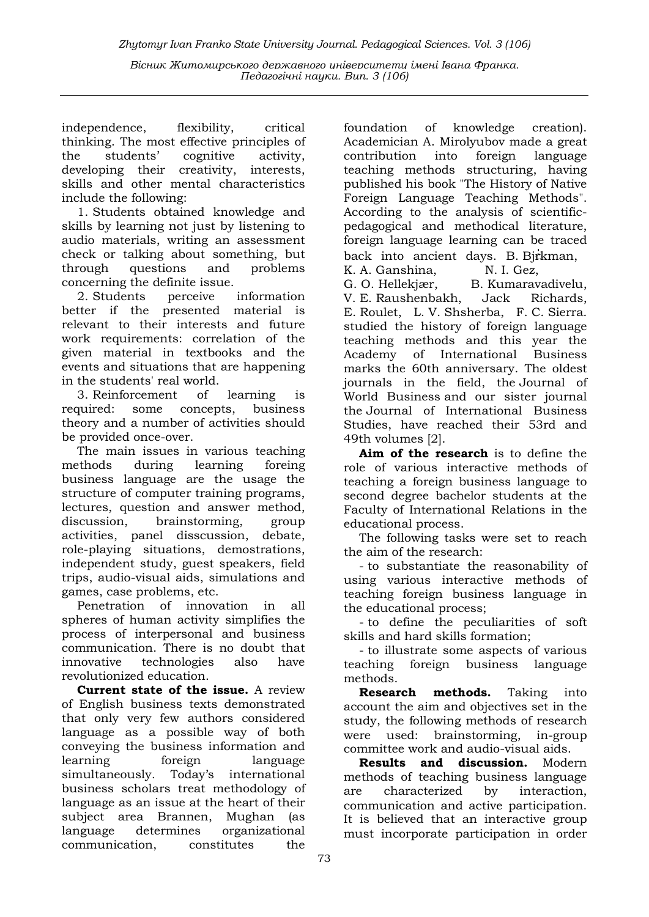Zhytomyr Ivan Franko State University Journal. Рedagogical Sciences. Vol. 3 (106)

Вісник Житомирського державного університету імені Івана Франка. Педагогічні науки. Вип. 3 (106)

independence, flexibility, critical thinking. The most effective principles of the students' cognitive activity, developing their creativity, interests, skills and other mental characteristics include the following:

1. Students obtained knowledge and skills by learning not just by listening to audio materials, writing an assessment check or talking about something, but through questions and problems concerning the definite issue.

2. Students perceive information better if the presented material is relevant to their interests and future work requirements: correlation of the given material in textbooks and the events and situations that are happening in the students' real world.

3. Reinforcement of learning is required: some concepts, business theory and a number of activities should be provided once-over.

The main issues in various teaching methods during learning foreing business language are the usage the structure of computer training programs, lectures, question and answer method, discussion, brainstorming, group activities, panel disscussion, debate, role-playing situations, demostrations, independent study, guest speakers, field trips, audio-visual aids, simulations and games, case problems, etc.

Penetration of innovation in all spheres of human activity simplifies the process of interpersonal and business communication. There is no doubt that innovative technologies also have revolutionized education.

Current state of the issue. A review of English business texts demonstrated that only very few authors considered language as a possible way of both conveying the business information and learning foreign language simultaneously. Today's international business scholars treat methodology of language as an issue at the heart of their subject area Brannen, Mughan (as language determines organizational communication, constitutes the

foundation of knowledge creation). Academician A. Mirolyubov made a great contribution into foreign language teaching methods structuring, having published his book "The History of Native Foreign Language Teaching Methods". According to the analysis of scientificpedagogical and methodical literature, foreign language learning can be traced back into ancient days. B. Bjrkman, K. A. Ganshina, N. I. Gez,

G. O. Hellekjær, B. Kumaravadivelu, V. E. Raushenbakh, Jack Richards, E. Roulet, L. V. Shsherba, F. C. Sierra. studied the history of foreign language teaching methods and this year the Academy of International Business marks the 60th anniversary. The oldest journals in the field, the Journal of World Business and our sister journal the Journal of International Business Studies, have reached their 53rd and 49th volumes [2].

Aim of the research is to define the role of various interactive methods of teaching a foreign business language to second degree bachelor students at the Faculty of International Relations in the educational process.

The following tasks were set to reach the aim of the research:

- to substantiate the reasonability of using various interactive methods of teaching foreign business language in the educational process;

- to define the peculiarities of soft skills and hard skills formation;

- to illustrate some aspects of various teaching foreign business language methods.

Research methods. Taking into account the aim and objectives set in the study, the following methods of research were used: brainstorming, in-group committee work and audio-visual aids.

Results and discussion. Modern methods of teaching business language are characterized by interaction, communication and active participation. It is believed that an interactive group must incorporate participation in order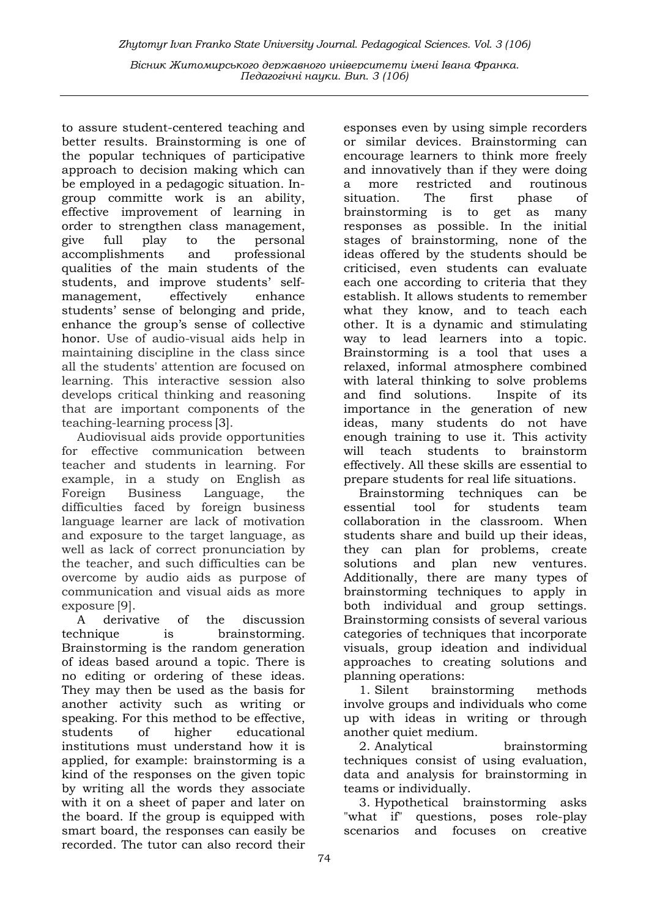to assure student-centered teaching and better results. Brainstorming is one of the popular techniques of participative approach to decision making which can be employed in a pedagogic situation. Ingroup committe work is an ability, effective improvement of learning in order to strengthen class management, give full play to the personal accomplishments and professional qualities of the main students of the students, and improve students' selfmanagement, effectively enhance students' sense of belonging and pride, enhance the group's sense of collective honor. Use of audio-visual aids help in maintaining discipline in the class since all the students' attention are focused on learning. This interactive session also develops critical thinking and reasoning that are important components of the teaching-learning process [3].

Audiovisual aids provide opportunities for effective communication between teacher and students in learning. For example, in a study on English as Foreign Business Language, the difficulties faced by foreign business language learner are lack of motivation and exposure to the target language, as well as lack of correct pronunciation by the teacher, and such difficulties can be overcome by audio aids as purpose of communication and visual aids as more exposure [9].

A derivative of the discussion technique is brainstorming. Brainstorming is the random generation of ideas based around a topic. There is no editing or ordering of these ideas. They may then be used as the basis for another activity such as writing or speaking. For this method to be effective, students of higher educational institutions must understand how it is applied, for example: brainstorming is a kind of the responses on the given topic by writing all the words they associate with it on a sheet of paper and later on the board. If the group is equipped with smart board, the responses can easily be recorded. The tutor can also record their

esponses even by using simple recorders or similar devices. Brainstorming can encourage learners to think more freely and innovatively than if they were doing a more restricted and routinous<br>situation. The first phase of situation. The first phase of brainstorming is to get as many responses as possible. In the initial stages of brainstorming, none of the ideas offered by the students should be criticised, even students can evaluate each one according to criteria that they establish. It allows students to remember what they know, and to teach each other. It is a dynamic and stimulating way to lead learners into a topic. Brainstorming is a tool that uses a relaxed, informal atmosphere combined with lateral thinking to solve problems and find solutions. Inspite of its importance in the generation of new ideas, many students do not have enough training to use it. This activity will teach students to brainstorm effectively. All these skills are essential to prepare students for real life situations.

Brainstorming techniques can be essential tool for students team collaboration in the classroom. When students share and build up their ideas, they can plan for problems, create solutions and plan new ventures. Additionally, there are many types of brainstorming techniques to apply in both individual and group settings. Brainstorming consists of several various categories of techniques that incorporate visuals, group ideation and individual approaches to creating solutions and planning operations:

1. Silent brainstorming methods involve groups and individuals who come up with ideas in writing or through another quiet medium.

2. Analytical brainstorming techniques consist of using evaluation, data and analysis for brainstorming in teams or individually.

3. Hypothetical brainstorming asks "what if" questions, poses role-play scenarios and focuses on creative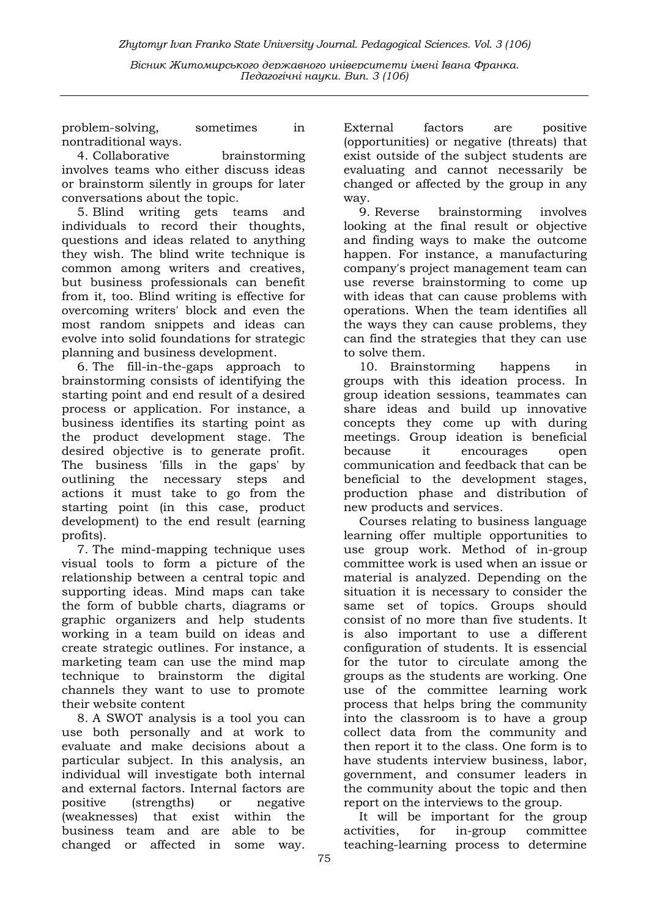Zhytomyr Ivan Franko State University Journal. Рedagogical Sciences. Vol. 3 (106)

Вісник Житомирського державного університету імені Івана Франка. Педагогічні науки. Вип. 3 (106)

problem-solving, sometimes in nontraditional ways.

4. Collaborative brainstorming involves teams who either discuss ideas or brainstorm silently in groups for later conversations about the topic.

5. Blind writing gets teams and individuals to record their thoughts, questions and ideas related to anything they wish. The blind write technique is common among writers and creatives, but business professionals can benefit from it, too. Blind writing is effective for overcoming writers' block and even the most random snippets and ideas can evolve into solid foundations for strategic planning and business development.

6. The fill-in-the-gaps approach to brainstorming consists of identifying the starting point and end result of a desired process or application. For instance, a business identifies its starting point as the product development stage. The desired objective is to generate profit. The business 'fills in the gaps' by outlining the necessary steps and actions it must take to go from the starting point (in this case, product development) to the end result (earning profits).

7. The mind-mapping technique uses visual tools to form a picture of the relationship between a central topic and supporting ideas. Mind maps can take the form of bubble charts, diagrams or graphic organizers and help students working in a team build on ideas and create strategic outlines. For instance, a marketing team can use the mind map technique to brainstorm the digital channels they want to use to promote their website content

8. A SWOT analysis is a tool you can use both personally and at work to evaluate and make decisions about a particular subject. In this analysis, an individual will investigate both internal and external factors. Internal factors are positive (strengths) or negative (weaknesses) that exist within the business team and are able to be changed or affected in some way.

External factors are positive (opportunities) or negative (threats) that exist outside of the subject students are evaluating and cannot necessarily be changed or affected by the group in any way.

9. Reverse brainstorming involves looking at the final result or objective and finding ways to make the outcome happen. For instance, a manufacturing company's project management team can use reverse brainstorming to come up with ideas that can cause problems with operations. When the team identifies all the ways they can cause problems, they can find the strategies that they can use to solve them.

10. Brainstorming happens in groups with this ideation process. In group ideation sessions, teammates can share ideas and build up innovative concepts they come up with during meetings. Group ideation is beneficial because it encourages open communication and feedback that can be beneficial to the development stages, production phase and distribution of new products and services.

Courses relating to business language learning offer multiple opportunities to use group work. Method of in-group committee work is used when an issue or material is analyzed. Depending on the situation it is necessary to consider the same set of topics. Groups should consist of no more than five students. It is also important to use a different configuration of students. It is essencial for the tutor to circulate among the groups as the students are working. One use of the committee learning work process that helps bring the community into the classroom is to have a group collect data from the community and then report it to the class. One form is to have students interview business, labor, government, and consumer leaders in the community about the topic and then report on the interviews to the group.

It will be important for the group activities, for in-group committee teaching-learning process to determine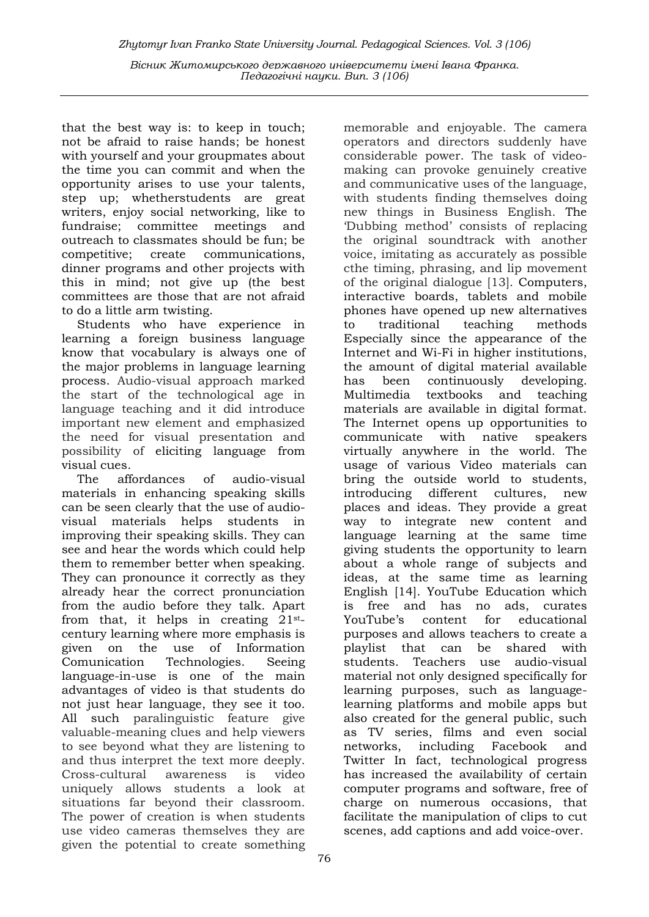Педагогічні науки. Вип. 3 (106)

that the best way is: to keep in touch; not be afraid to raise hands; be honest with yourself and your groupmates about the time you can commit and when the opportunity arises to use your talents, step up; whetherstudents are great writers, enjoy social networking, like to fundraise; committee meetings and outreach to classmates should be fun; be competitive; create communications, dinner programs and other projects with this in mind; not give up (the best committees are those that are not afraid to do a little arm twisting.

Students who have experience in learning a foreign business language know that vocabulary is always one of the major problems in language learning process. Audio-visual approach marked the start of the technological age in language teaching and it did introduce important new element and emphasized the need for visual presentation and possibility of eliciting language from visual cues.

The affordances of audio-visual materials in enhancing speaking skills can be seen clearly that the use of audiovisual materials helps students in improving their speaking skills. They can see and hear the words which could help them to remember better when speaking. They can pronounce it correctly as they already hear the correct pronunciation from the audio before they talk. Apart from that, it helps in creating  $21^{st}$ century learning where more emphasis is given on the use of Information Comunication Technologies. Seeing language-in-use is one of the main advantages of video is that students do not just hear language, they see it too. All such paralinguistic feature give valuable-meaning clues and help viewers to see beyond what they are listening to and thus interpret the text more deeply. Cross-cultural awareness is video uniquely allows students a look at situations far beyond their classroom. The power of creation is when students use video cameras themselves they are given the potential to create something

considerable power. The task of videomaking can provoke genuinely creative and communicative uses of the language, with students finding themselves doing new things in Business English. The 'Dubbing method' consists of replacing the original soundtrack with another voice, imitating as accurately as possible cthe timing, phrasing, and lip movement of the original dialogue [13]. Computers, interactive boards, tablets and mobile phones have opened up new alternatives to traditional teaching methods Especially since the appearance of the Internet and Wi-Fi in higher institutions, the amount of digital material available has been continuously developing. Multimedia textbooks and teaching materials are available in digital format. The Internet opens up opportunities to communicate with native speakers virtually anywhere in the world. The usage of various Video materials can bring the outside world to students, introducing different cultures, new places and ideas. They provide a great way to integrate new content and language learning at the same time giving students the opportunity to learn about a whole range of subjects and ideas, at the same time as learning English [14]. YouTube Education which is free and has no ads, curates YouTube's content for educational purposes and allows teachers to create a playlist that can be shared with students. Teachers use audio-visual material not only designed specifically for learning purposes, such as languagelearning platforms and mobile apps but also created for the general public, such as TV series, films and even social networks, including Facebook and Twitter In fact, technological progress has increased the availability of certain computer programs and software, free of charge on numerous occasions, that facilitate the manipulation of clips to cut scenes, add captions and add voice-over.

memorable and enjoyable. The camera operators and directors suddenly have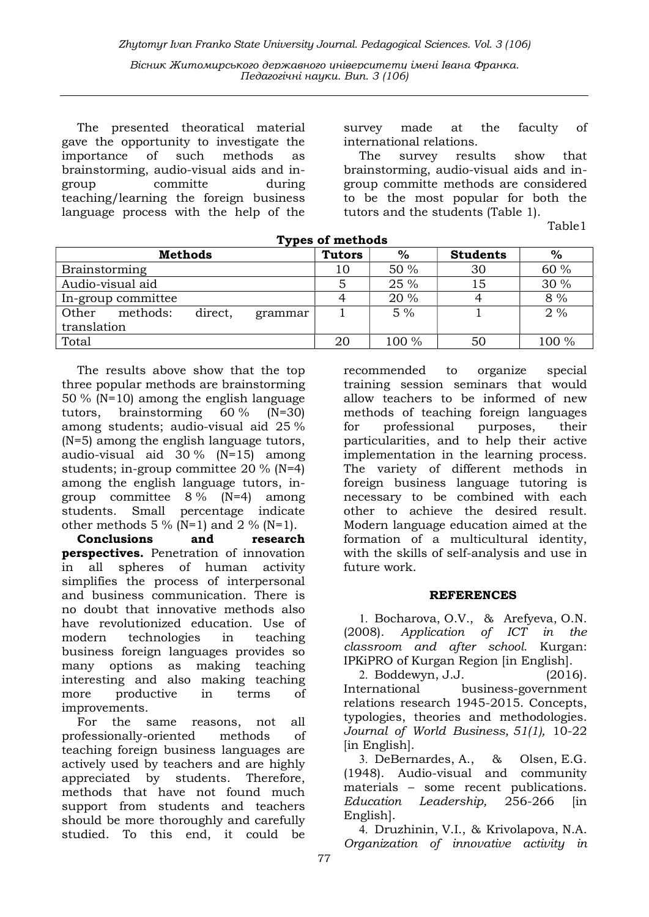The presented theoratical material gave the opportunity to investigate the importance of such methods as brainstorming, audio-visual aids and ingroup committe during teaching/learning the foreign business language process with the help of the

survey made at the faculty of international relations.

The survey results show that brainstorming, audio-visual aids and ingroup committe methods are considered to be the most popular for both the tutors and the students (Table 1).

Table1

| <b>Types of methods</b>                 |               |       |                 |       |
|-----------------------------------------|---------------|-------|-----------------|-------|
| <b>Methods</b>                          | <b>Tutors</b> | $\%$  | <b>Students</b> | $\%$  |
| <b>Brainstorming</b>                    | 10            | 50%   | 30              | 60 %  |
| Audio-visual aid                        |               | 25 %  | 15              | 30 %  |
| In-group committee                      |               | 20 %  |                 | 8 %   |
| Other<br>methods:<br>direct,<br>grammar |               | $5\%$ |                 | 2%    |
| translation                             |               |       |                 |       |
| Total                                   | 20            | 100 % | 50              | 100 % |

The results above show that the top three popular methods are brainstorming 50 % (N=10) among the english language tutors, brainstorming 60 % (N=30) among students; audio-visual aid 25 % (N=5) among the english language tutors, audio-visual aid 30 % (N=15) among students; in-group committee 20 % (N=4) among the english language tutors, ingroup committee 8 % (N=4) among students. Small percentage indicate other methods 5 % (N=1) and 2 % (N=1).

Conclusions and research perspectives. Penetration of innovation in all spheres of human activity simplifies the process of interpersonal and business communication. There is no doubt that innovative methods also have revolutionized education. Use of modern technologies in teaching business foreign languages provides so many options as making teaching interesting and also making teaching more productive in terms of improvements.

For the same reasons, not all professionally-oriented methods of teaching foreign business languages are actively used by teachers and are highly appreciated by students. Therefore, methods that have not found much support from students and teachers should be more thoroughly and carefully studied. To this end, it could be

recommended to organize special training session seminars that would allow teachers to be informed of new methods of teaching foreign languages for professional purposes, their particularities, and to help their active implementation in the learning process. The variety of different methods in foreign business language tutoring is necessary to be combined with each other to achieve the desired result. Modern language education aimed at the formation of a multicultural identity, with the skills of self-analysis and use in future work.

#### REFERENCES

1. Bocharova, O.V., & Arefyeva, O.N. (2008). Application of ICT in the classroom and after school. Kurgan: IPKiPRO of Kurgan Region [in English].

2. Boddewyn, J.J. (2016). International business-government relations research 1945-2015. Concepts, typologies, theories and methodologies. Journal of World Business, 51(1), 10-22 [in English].

3. DeBernardes, A., & Olsen, E.G. (1948). Audio-visual and community materials – some recent publications. Education Leadership, 256-266 [in English].

4. Druzhinin, V.I., & Krivolapova, N.A. Organization of innovative activity in